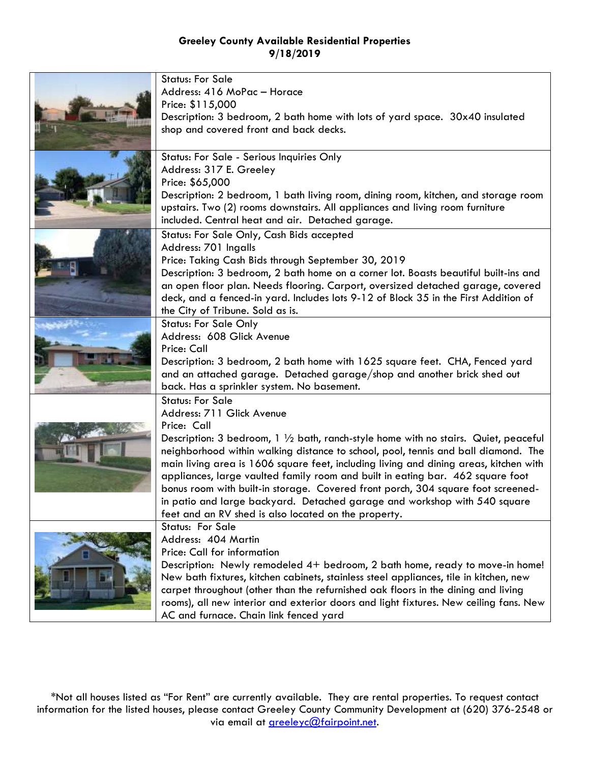|  | <b>Status: For Sale</b>                                                                                                                                            |
|--|--------------------------------------------------------------------------------------------------------------------------------------------------------------------|
|  | Address: 416 MoPac - Horace                                                                                                                                        |
|  | Price: \$115,000                                                                                                                                                   |
|  | Description: 3 bedroom, 2 bath home with lots of yard space. 30x40 insulated                                                                                       |
|  | shop and covered front and back decks.                                                                                                                             |
|  |                                                                                                                                                                    |
|  | Status: For Sale - Serious Inquiries Only                                                                                                                          |
|  | Address: 317 E. Greeley                                                                                                                                            |
|  | Price: \$65,000                                                                                                                                                    |
|  | Description: 2 bedroom, 1 bath living room, dining room, kitchen, and storage room                                                                                 |
|  | upstairs. Two (2) rooms downstairs. All appliances and living room furniture                                                                                       |
|  | included. Central heat and air. Detached garage.                                                                                                                   |
|  | Status: For Sale Only, Cash Bids accepted                                                                                                                          |
|  | Address: 701 Ingalls                                                                                                                                               |
|  | Price: Taking Cash Bids through September 30, 2019                                                                                                                 |
|  | Description: 3 bedroom, 2 bath home on a corner lot. Boasts beautiful built-ins and                                                                                |
|  | an open floor plan. Needs flooring. Carport, oversized detached garage, covered                                                                                    |
|  | deck, and a fenced-in yard. Includes lots 9-12 of Block 35 in the First Addition of                                                                                |
|  | the City of Tribune. Sold as is.                                                                                                                                   |
|  | <b>Status: For Sale Only</b>                                                                                                                                       |
|  | Address: 608 Glick Avenue                                                                                                                                          |
|  | Price: Call                                                                                                                                                        |
|  | Description: 3 bedroom, 2 bath home with 1625 square feet. CHA, Fenced yard                                                                                        |
|  | and an attached garage. Detached garage/shop and another brick shed out                                                                                            |
|  | back. Has a sprinkler system. No basement.                                                                                                                         |
|  | <b>Status: For Sale</b>                                                                                                                                            |
|  | Address: 711 Glick Avenue<br>Price: Call                                                                                                                           |
|  |                                                                                                                                                                    |
|  | Description: 3 bedroom, 1 $\frac{1}{2}$ bath, ranch-style home with no stairs. Quiet, peaceful                                                                     |
|  | neighborhood within walking distance to school, pool, tennis and ball diamond. The                                                                                 |
|  | main living area is 1606 square feet, including living and dining areas, kitchen with                                                                              |
|  | appliances, large vaulted family room and built in eating bar. 462 square foot<br>bonus room with built-in storage. Covered front porch, 304 square foot screened- |
|  | in patio and large backyard. Detached garage and workshop with 540 square                                                                                          |
|  | feet and an RV shed is also located on the property.                                                                                                               |
|  | <b>Status: For Sale</b>                                                                                                                                            |
|  | Address: 404 Martin                                                                                                                                                |
|  | Price: Call for information                                                                                                                                        |
|  | Description: Newly remodeled 4+ bedroom, 2 bath home, ready to move-in home!                                                                                       |
|  | New bath fixtures, kitchen cabinets, stainless steel appliances, tile in kitchen, new                                                                              |
|  | carpet throughout (other than the refurnished oak floors in the dining and living                                                                                  |
|  | rooms), all new interior and exterior doors and light fixtures. New ceiling fans. New                                                                              |
|  | AC and furnace. Chain link fenced yard                                                                                                                             |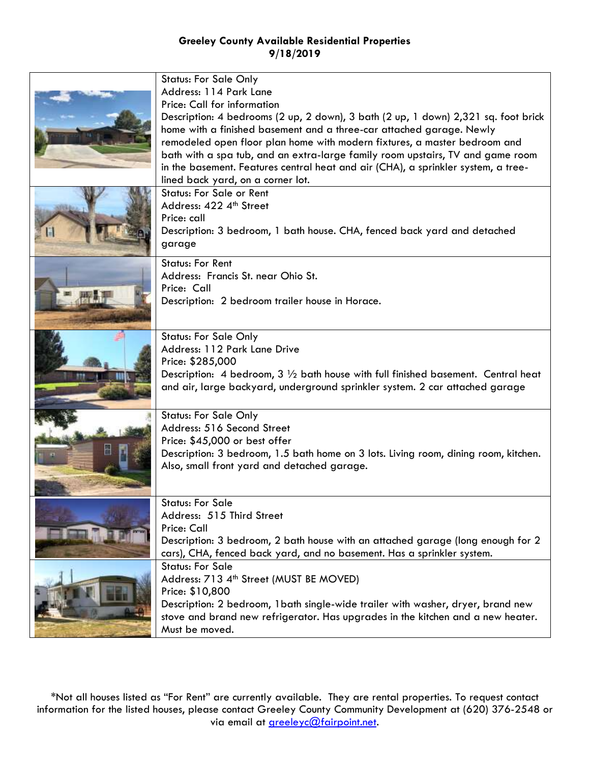| <b>Status: For Sale Only</b>                                                                |
|---------------------------------------------------------------------------------------------|
| Address: 114 Park Lane                                                                      |
| Price: Call for information                                                                 |
| Description: 4 bedrooms (2 up, 2 down), 3 bath (2 up, 1 down) 2,321 sq. foot brick          |
| home with a finished basement and a three-car attached garage. Newly                        |
| remodeled open floor plan home with modern fixtures, a master bedroom and                   |
|                                                                                             |
| bath with a spa tub, and an extra-large family room upstairs, TV and game room              |
| in the basement. Features central heat and air (CHA), a sprinkler system, a tree-           |
| lined back yard, on a corner lot.                                                           |
| <b>Status: For Sale or Rent</b>                                                             |
| Address: 422 4th Street                                                                     |
| Price: call                                                                                 |
| Description: 3 bedroom, 1 bath house. CHA, fenced back yard and detached                    |
| garage                                                                                      |
|                                                                                             |
| <b>Status: For Rent</b>                                                                     |
| Address: Francis St. near Ohio St.                                                          |
| Price: Call                                                                                 |
| Description: 2 bedroom trailer house in Horace.                                             |
|                                                                                             |
| <b>Status: For Sale Only</b>                                                                |
| Address: 112 Park Lane Drive                                                                |
| Price: \$285,000                                                                            |
| Description: 4 bedroom, $3\frac{1}{2}$ bath house with full finished basement. Central heat |
| and air, large backyard, underground sprinkler system. 2 car attached garage                |
|                                                                                             |
| <b>Status: For Sale Only</b>                                                                |
| Address: 516 Second Street                                                                  |
| Price: \$45,000 or best offer                                                               |
|                                                                                             |
| Description: 3 bedroom, 1.5 bath home on 3 lots. Living room, dining room, kitchen.         |
| Also, small front yard and detached garage.                                                 |
|                                                                                             |
| <b>Status: For Sale</b>                                                                     |
| Address: 515 Third Street                                                                   |
| Price: Call                                                                                 |
| Description: 3 bedroom, 2 bath house with an attached garage (long enough for 2             |
| cars), CHA, fenced back yard, and no basement. Has a sprinkler system.                      |
| <b>Status: For Sale</b>                                                                     |
| Address: 713 4th Street (MUST BE MOVED)                                                     |
| Price: \$10,800                                                                             |
| Description: 2 bedroom, 1 bath single-wide trailer with washer, dryer, brand new            |
| stove and brand new refrigerator. Has upgrades in the kitchen and a new heater.             |
|                                                                                             |
| Must be moved.                                                                              |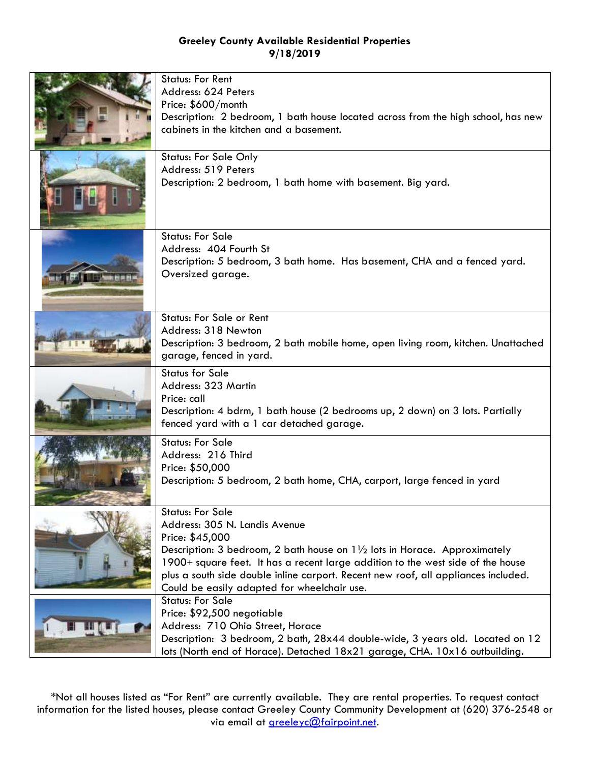| <b>Status: For Rent</b><br>Address: 624 Peters<br>Price: \$600/month<br>Description: 2 bedroom, 1 bath house located across from the high school, has new<br>cabinets in the kitchen and a basement.<br><b>Status: For Sale Only</b><br>Address: 519 Peters                                                                                                                       |
|-----------------------------------------------------------------------------------------------------------------------------------------------------------------------------------------------------------------------------------------------------------------------------------------------------------------------------------------------------------------------------------|
| Description: 2 bedroom, 1 bath home with basement. Big yard.                                                                                                                                                                                                                                                                                                                      |
| <b>Status: For Sale</b><br>Address: 404 Fourth St<br>Description: 5 bedroom, 3 bath home. Has basement, CHA and a fenced yard.<br>Oversized garage.                                                                                                                                                                                                                               |
| Status: For Sale or Rent<br>Address: 318 Newton<br>Description: 3 bedroom, 2 bath mobile home, open living room, kitchen. Unattached<br>garage, fenced in yard.                                                                                                                                                                                                                   |
| <b>Status for Sale</b><br>Address: 323 Martin<br>Price: call<br>Description: 4 bdrm, 1 bath house (2 bedrooms up, 2 down) on 3 lots. Partially<br>fenced yard with a 1 car detached garage.                                                                                                                                                                                       |
| <b>Status: For Sale</b><br>Address: 216 Third<br>Price: \$50,000<br>Description: 5 bedroom, 2 bath home, CHA, carport, large fenced in yard                                                                                                                                                                                                                                       |
| <b>Status: For Sale</b><br>Address: 305 N. Landis Avenue<br>Price: \$45,000<br>Description: 3 bedroom, 2 bath house on 11/2 lots in Horace. Approximately<br>1900+ square feet. It has a recent large addition to the west side of the house<br>plus a south side double inline carport. Recent new roof, all appliances included.<br>Could be easily adapted for wheelchair use. |
| <b>Status: For Sale</b><br>Price: \$92,500 negotiable<br>Address: 710 Ohio Street, Horace<br>Description: 3 bedroom, 2 bath, 28x44 double-wide, 3 years old. Located on 12<br>lots (North end of Horace). Detached 18x21 garage, CHA. 10x16 outbuilding.                                                                                                                          |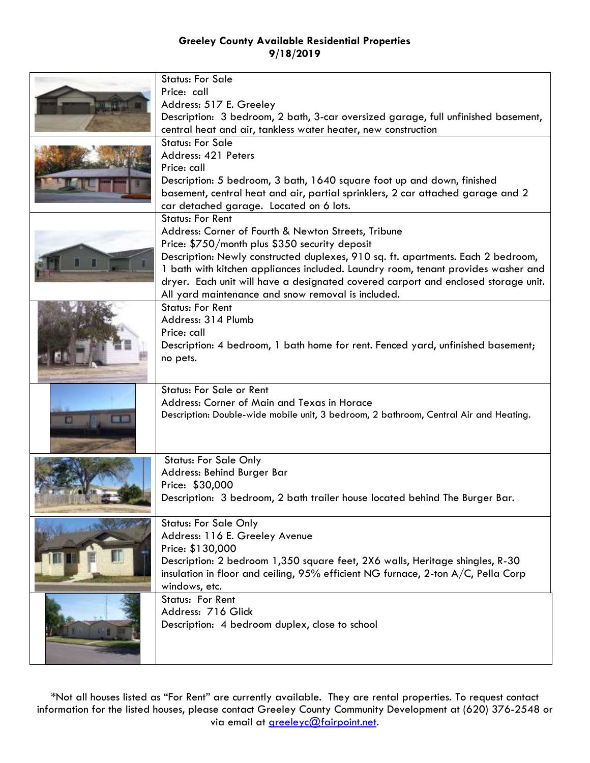|   | <b>Status: For Sale</b><br>Price: call<br>Address: 517 E. Greeley<br>Description: 3 bedroom, 2 bath, 3-car oversized garage, full unfinished basement,                                                                                                                                                    |
|---|-----------------------------------------------------------------------------------------------------------------------------------------------------------------------------------------------------------------------------------------------------------------------------------------------------------|
|   | central heat and air, tankless water heater, new construction                                                                                                                                                                                                                                             |
|   | <b>Status: For Sale</b><br>Address: 421 Peters<br>Price: call<br>Description: 5 bedroom, 3 bath, 1640 square foot up and down, finished                                                                                                                                                                   |
|   | basement, central heat and air, partial sprinklers, 2 car attached garage and 2<br>car detached garage. Located on 6 lots.                                                                                                                                                                                |
|   | <b>Status: For Rent</b><br>Address: Corner of Fourth & Newton Streets, Tribune<br>Price: \$750/month plus \$350 security deposit<br>Description: Newly constructed duplexes, 910 sq. ft. apartments. Each 2 bedroom,<br>1 bath with kitchen appliances included. Laundry room, tenant provides washer and |
|   | dryer. Each unit will have a designated covered carport and enclosed storage unit.                                                                                                                                                                                                                        |
|   | All yard maintenance and snow removal is included.<br><b>Status: For Rent</b><br>Address: 314 Plumb<br>Price: call<br>Description: 4 bedroom, 1 bath home for rent. Fenced yard, unfinished basement;<br>no pets.                                                                                         |
| œ | <b>Status: For Sale or Rent</b><br>Address: Corner of Main and Texas in Horace<br>Description: Double-wide mobile unit, 3 bedroom, 2 bathroom, Central Air and Heating.                                                                                                                                   |
|   | <b>Status: For Sale Only</b><br>Address: Behind Burger Bar<br>Price: \$30,000<br>Description: 3 bedroom, 2 bath trailer house located behind The Burger Bar.                                                                                                                                              |
|   | <b>Status: For Sale Only</b><br>Address: 116 E. Greeley Avenue<br>Price: \$130,000<br>Description: 2 bedroom 1,350 square feet, 2X6 walls, Heritage shingles, R-30<br>insulation in floor and ceiling, 95% efficient NG furnace, 2-ton A/C, Pella Corp<br>windows, etc.                                   |
|   | Status: For Rent<br>Address: 716 Glick<br>Description: 4 bedroom duplex, close to school                                                                                                                                                                                                                  |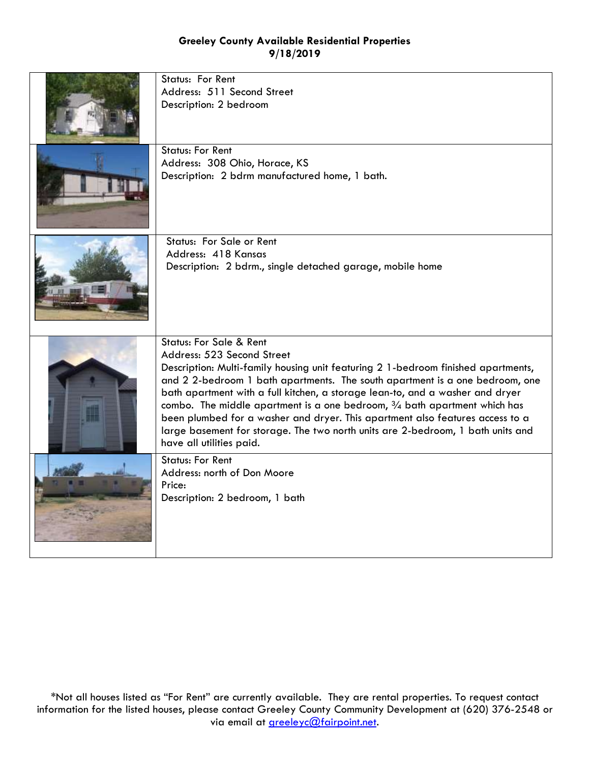| Status: For Rent<br>Address: 511 Second Street<br>Description: 2 bedroom                                                                                                                                                                                                                                                                                                                                                                                                                                                                                                                                       |
|----------------------------------------------------------------------------------------------------------------------------------------------------------------------------------------------------------------------------------------------------------------------------------------------------------------------------------------------------------------------------------------------------------------------------------------------------------------------------------------------------------------------------------------------------------------------------------------------------------------|
| <b>Status: For Rent</b><br>Address: 308 Ohio, Horace, KS<br>Description: 2 bdrm manufactured home, 1 bath.                                                                                                                                                                                                                                                                                                                                                                                                                                                                                                     |
| Status: For Sale or Rent<br>Address: 418 Kansas<br>Description: 2 bdrm., single detached garage, mobile home                                                                                                                                                                                                                                                                                                                                                                                                                                                                                                   |
| <b>Status: For Sale &amp; Rent</b><br>Address: 523 Second Street<br>Description: Multi-family housing unit featuring 2 1-bedroom finished apartments,<br>and 2 2-bedroom 1 bath apartments. The south apartment is a one bedroom, one<br>bath apartment with a full kitchen, a storage lean-to, and a washer and dryer<br>combo. The middle apartment is a one bedroom, $\frac{3}{4}$ bath apartment which has<br>been plumbed for a washer and dryer. This apartment also features access to a<br>large basement for storage. The two north units are 2-bedroom, 1 bath units and<br>have all utilities paid. |
| <b>Status: For Rent</b><br>Address: north of Don Moore<br>Price:<br>Description: 2 bedroom, 1 bath                                                                                                                                                                                                                                                                                                                                                                                                                                                                                                             |